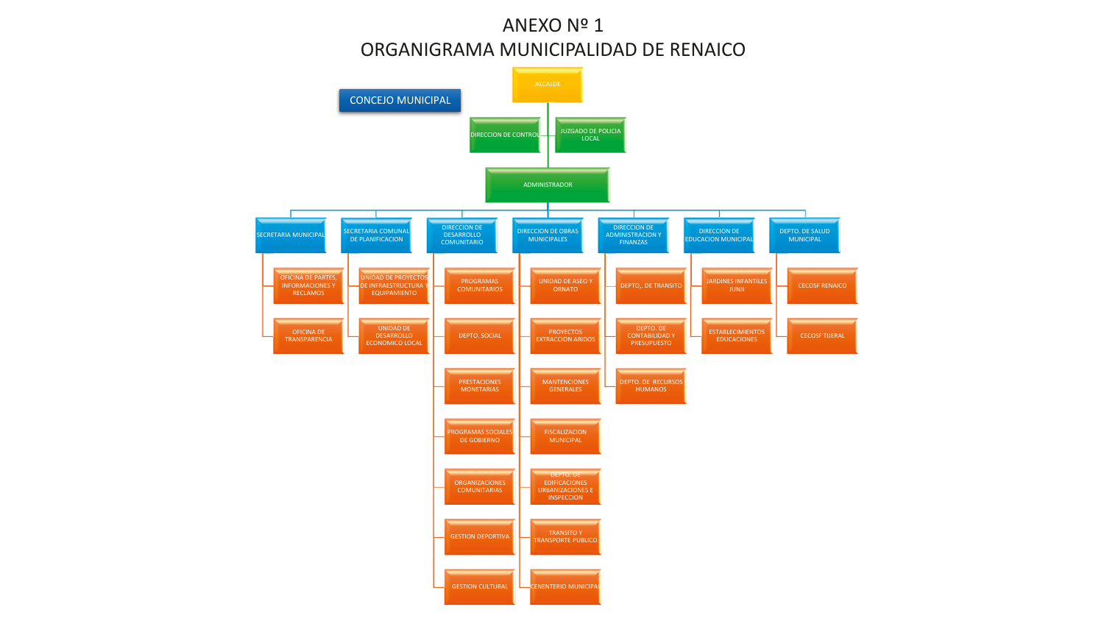## ANEXO Nº 1 ORGANIGRAMA MUNICIPALIDAD DE RENAICO

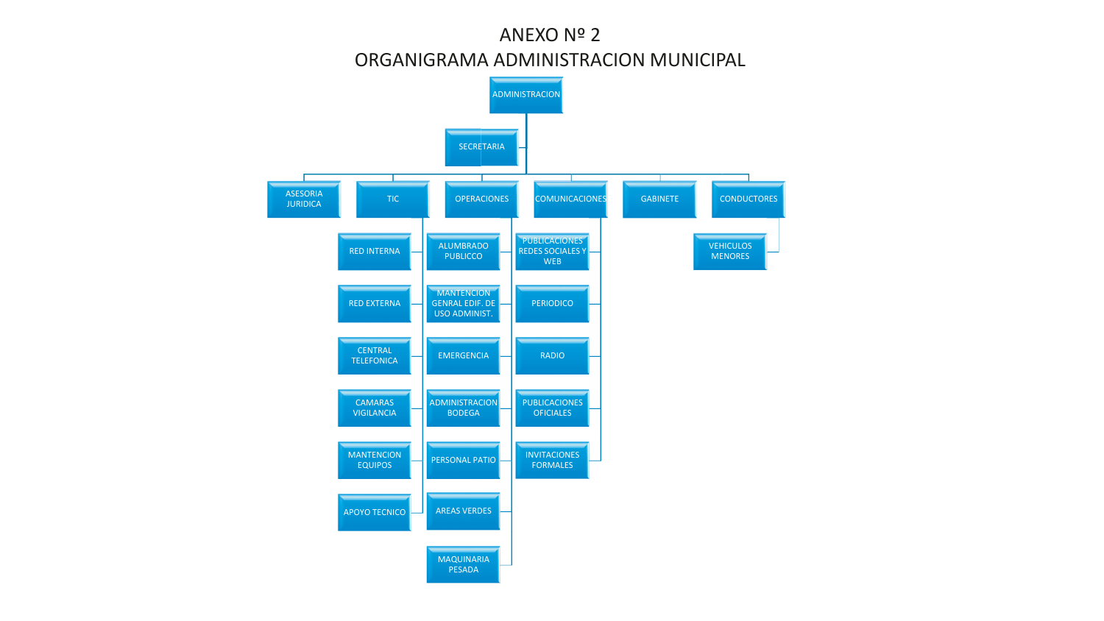# ANEXO Nº 2 ORGANIGRAMA ADMINISTRACION MUNICIPAL

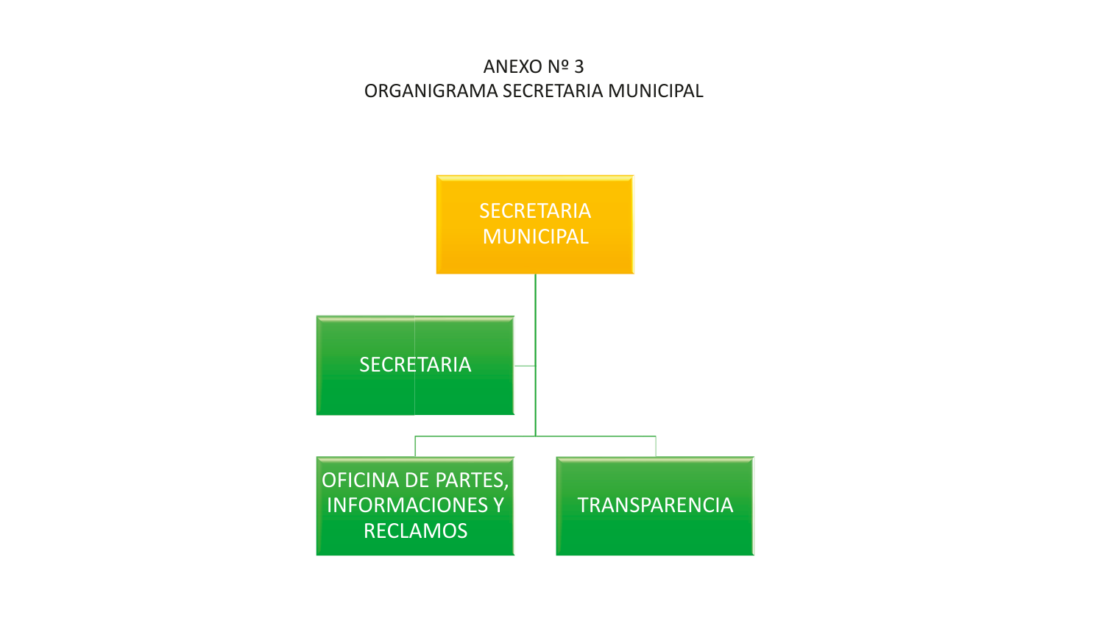ANEXO Nº 3 ORGANIGRAMA SECRETARIA MUNICIPAL

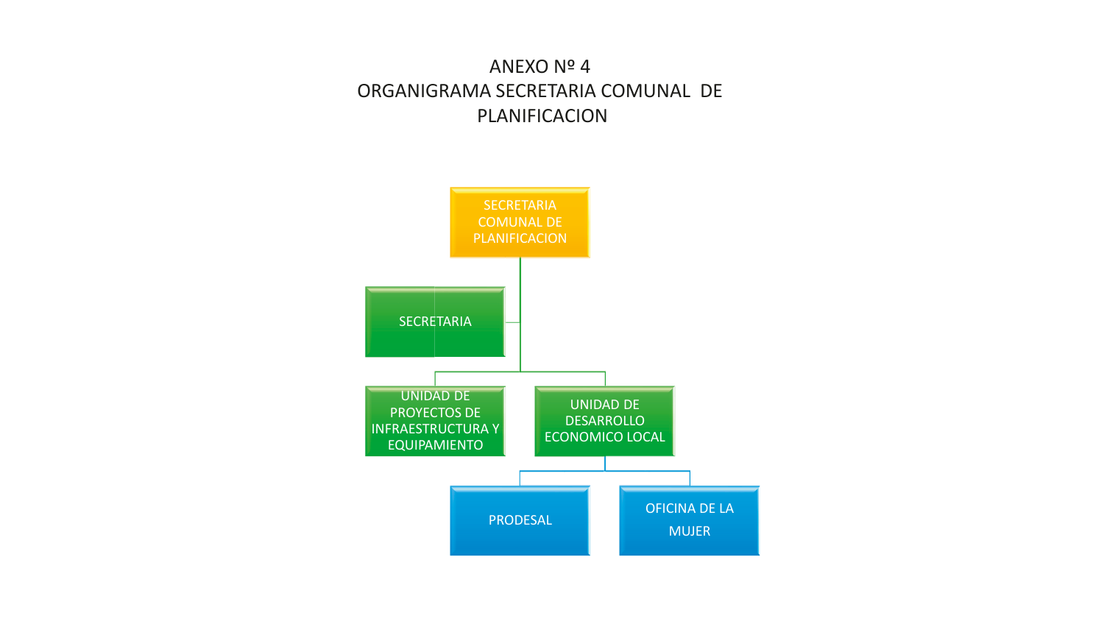# ANEXO Nº 4 ORGANIGRAMA SECRETARIA COMUNAL DE PLANIFICACION

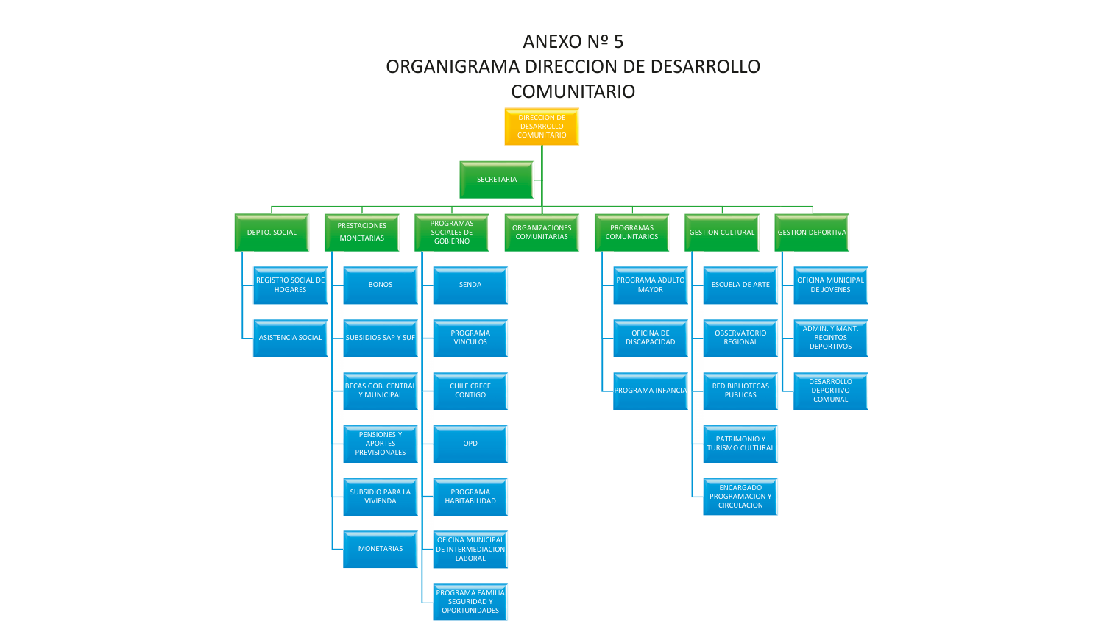#### ANEXO Nº 5 ORGANIGRAMA DIRECCION DE DESARROLLO **COMUNITARIO**

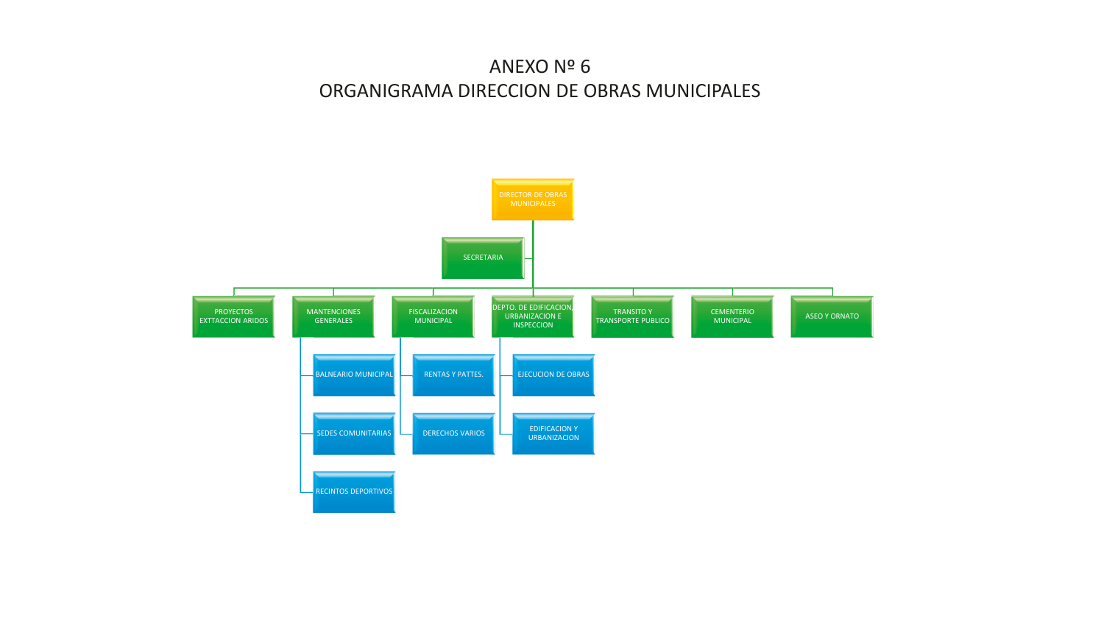## ANEXO Nº 6 ORGANIGRAMA DIRECCION DE OBRAS MUNICIPALES

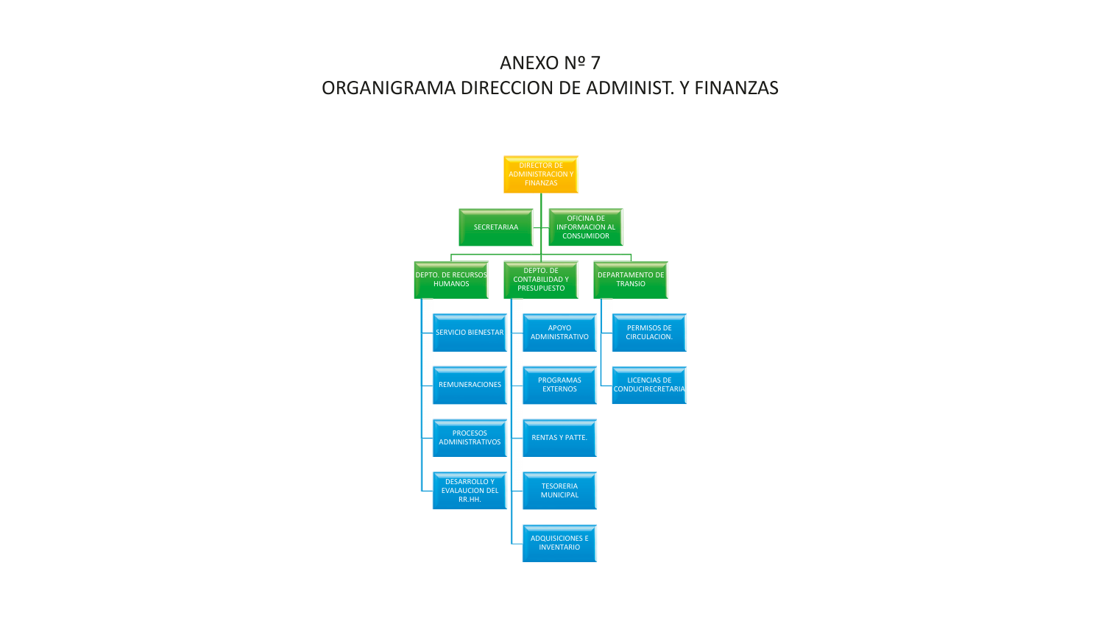# ANEXO Nº 7 ORGANIGRAMA DIRECCION DE ADMINIST. Y FINANZAS

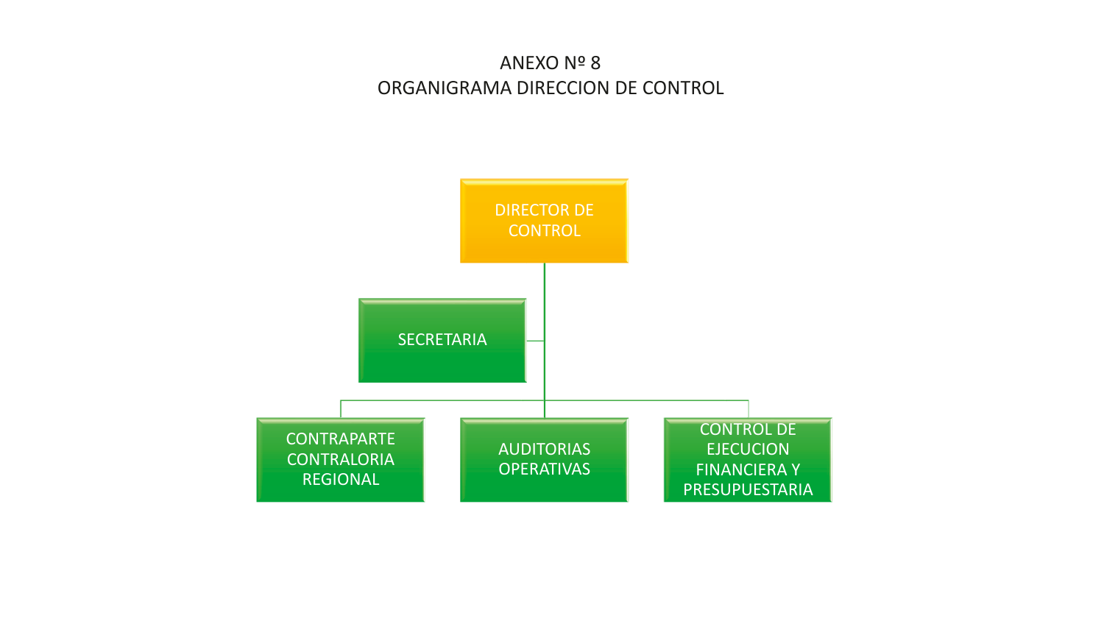# ANEXO Nº 8 ORGANIGRAMA DIRECCION DE CONTROL